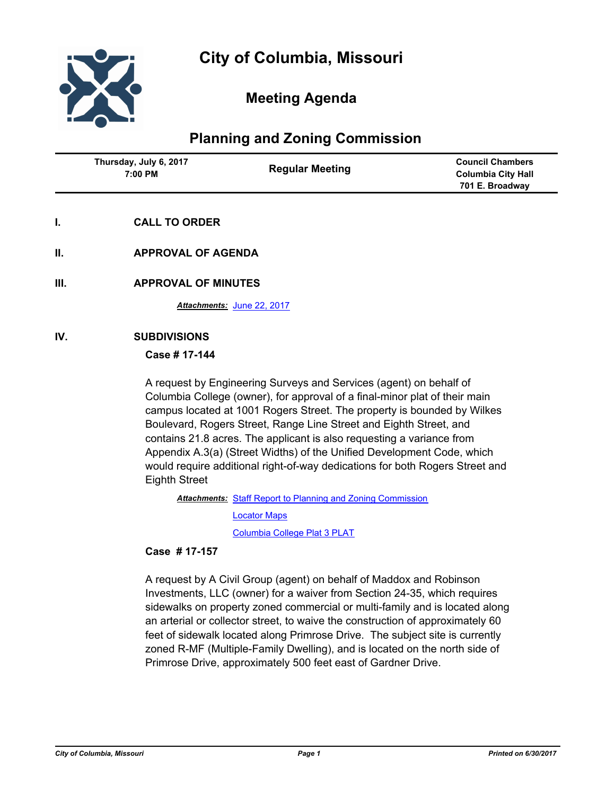

# **Meeting Agenda**

# **Planning and Zoning Commission**

| Thursday, July 6, 2017 | <b>Council Chambers</b>   |
|------------------------|---------------------------|
| <b>Regular Meeting</b> | <b>Columbia City Hall</b> |
| 7:00 PM                | 701 E. Broadway           |

- **I. CALL TO ORDER**
- **II. APPROVAL OF AGENDA**
- **III. APPROVAL OF MINUTES**

*Attachments:* [June 22, 2017](http://gocolumbiamo.legistar.com/gateway.aspx?M=F&ID=18c799f4-c640-45a6-b0a7-ffcf56fb2bfe.docx)

### **IV. SUBDIVISIONS**

#### **Case # 17-144**

A request by Engineering Surveys and Services (agent) on behalf of Columbia College (owner), for approval of a final-minor plat of their main campus located at 1001 Rogers Street. The property is bounded by Wilkes Boulevard, Rogers Street, Range Line Street and Eighth Street, and contains 21.8 acres. The applicant is also requesting a variance from Appendix A.3(a) (Street Widths) of the Unified Development Code, which would require additional right-of-way dedications for both Rogers Street and Eighth Street

Attachments: [Staff Report to Planning and Zoning Commission](http://gocolumbiamo.legistar.com/gateway.aspx?M=F&ID=fb41c82e-e707-402e-8b87-99994aef7a34.docx)

[Locator Maps](http://gocolumbiamo.legistar.com/gateway.aspx?M=F&ID=77a85a56-8a3d-46d7-8bb9-55a85edf3220.pdf)

[Columbia College Plat 3 PLAT](http://gocolumbiamo.legistar.com/gateway.aspx?M=F&ID=94138215-01d7-4432-984e-30866095d1ad.pdf)

### **Case # 17-157**

A request by A Civil Group (agent) on behalf of Maddox and Robinson Investments, LLC (owner) for a waiver from Section 24-35, which requires sidewalks on property zoned commercial or multi-family and is located along an arterial or collector street, to waive the construction of approximately 60 feet of sidewalk located along Primrose Drive. The subject site is currently zoned R-MF (Multiple-Family Dwelling), and is located on the north side of Primrose Drive, approximately 500 feet east of Gardner Drive.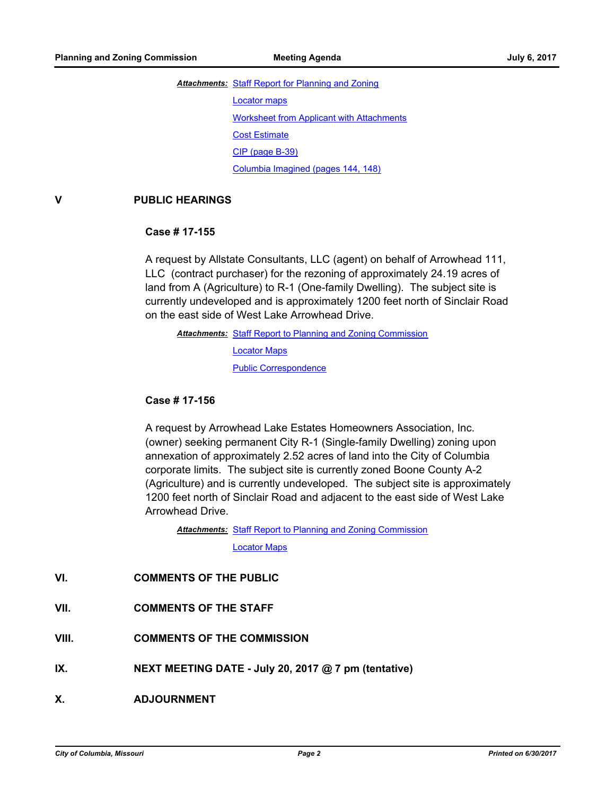# Attachments: [Staff Report for Planning and Zoning](http://gocolumbiamo.legistar.com/gateway.aspx?M=F&ID=601c1d3b-647a-462c-b8d0-34bdcddd6656.pdf) [Locator maps](http://gocolumbiamo.legistar.com/gateway.aspx?M=F&ID=52e9f037-bb04-472c-9fd7-80c4d599eaaa.pdf) [Worksheet from Applicant with Attachments](http://gocolumbiamo.legistar.com/gateway.aspx?M=F&ID=3fb0d6b9-523a-4c97-9df6-2dee28634f24.pdf) [Cost Estimate](http://gocolumbiamo.legistar.com/gateway.aspx?M=F&ID=23c059a4-d248-46a6-adee-4fb71b26b7b4.pdf) [CIP \(page B-39\)](http://gocolumbiamo.legistar.com/gateway.aspx?M=F&ID=0ed1ad6d-a693-43ea-9c1a-440a83c24a39.pdf) [Columbia Imagined \(pages 144, 148\)](http://gocolumbiamo.legistar.com/gateway.aspx?M=F&ID=c3904b44-4a9b-4f71-92ab-5af6bc064f33.pdf)

### **V PUBLIC HEARINGS**

#### **Case # 17-155**

A request by Allstate Consultants, LLC (agent) on behalf of Arrowhead 111, LLC (contract purchaser) for the rezoning of approximately 24.19 acres of land from A (Agriculture) to R-1 (One-family Dwelling). The subject site is currently undeveloped and is approximately 1200 feet north of Sinclair Road on the east side of West Lake Arrowhead Drive.

Attachments: [Staff Report to Planning and Zoning Commission](http://gocolumbiamo.legistar.com/gateway.aspx?M=F&ID=fcf90410-1222-4aa8-afa2-e5c4800f59b9.docx) [Locator Maps](http://gocolumbiamo.legistar.com/gateway.aspx?M=F&ID=7bb6389c-e305-441d-b2ab-c690153bc966.pdf) [Public Correspondence](http://gocolumbiamo.legistar.com/gateway.aspx?M=F&ID=304f1558-1bfa-4eb4-b168-6826ca6bea50.pdf)

#### **Case # 17-156**

A request by Arrowhead Lake Estates Homeowners Association, Inc. (owner) seeking permanent City R-1 (Single-family Dwelling) zoning upon annexation of approximately 2.52 acres of land into the City of Columbia corporate limits. The subject site is currently zoned Boone County A-2 (Agriculture) and is currently undeveloped. The subject site is approximately 1200 feet north of Sinclair Road and adjacent to the east side of West Lake Arrowhead Drive.

Attachments: [Staff Report to Planning and Zoning Commission](http://gocolumbiamo.legistar.com/gateway.aspx?M=F&ID=b60de317-086d-4565-a50b-5fd94139da9b.docx) [Locator Maps](http://gocolumbiamo.legistar.com/gateway.aspx?M=F&ID=d6d3570d-375e-4776-a311-38d6b2041666.pdf)

## **VI. COMMENTS OF THE PUBLIC**

### **VII. COMMENTS OF THE STAFF**

- **VIII. COMMENTS OF THE COMMISSION**
- **IX. NEXT MEETING DATE July 20, 2017 @ 7 pm (tentative)**
- **X. ADJOURNMENT**